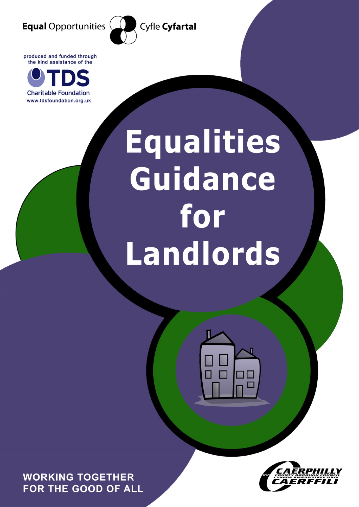

Cyfle Cyfartal

produced and funded through the kind assistance of the



# Equalities Guidance for Landlords

**WORKING TOGETHER** FOR THE GOOD OF ALL

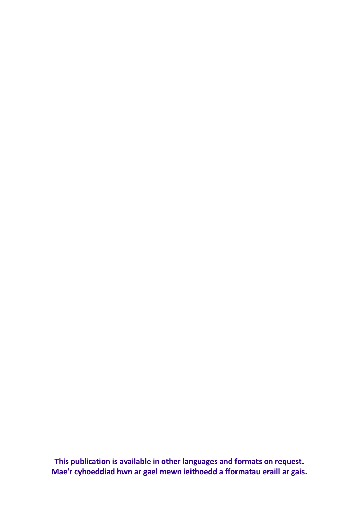**This publication is available in other languages and formats on request. Mae'r cyhoeddiad hwn ar gael mewn ieithoedd a fformatau eraill ar gais.**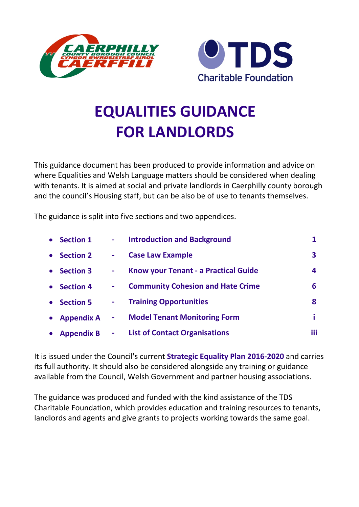



# **EQUALITIES GUIDANCE FOR LANDLORDS**

This guidance document has been produced to provide information and advice on where Equalities and Welsh Language matters should be considered when dealing with tenants. It is aimed at social and private landlords in Caerphilly county borough and the council's Housing staff, but can be also be of use to tenants themselves.

The guidance is split into five sections and two appendices.

| • Section 1       | $\mathbf{m} = 0$ | <b>Introduction and Background</b>       |            |
|-------------------|------------------|------------------------------------------|------------|
| <b>Section 2</b>  | $\sim$           | <b>Case Law Example</b>                  | 3          |
| <b>Section 3</b>  | $\sim$           | Know your Tenant - a Practical Guide     | 4          |
| <b>Section 4</b>  | $\blacksquare$   | <b>Community Cohesion and Hate Crime</b> | 6          |
| <b>Section 5</b>  | $\blacksquare$   | <b>Training Opportunities</b>            | 8          |
| <b>Appendix A</b> | $\blacksquare$   | <b>Model Tenant Monitoring Form</b>      | i          |
| <b>Appendix B</b> | $\blacksquare$   | <b>List of Contact Organisations</b>     | <b>iii</b> |

It is issued under the Council's current **Strategic Equality Plan 2016-2020** and carries its full authority. It should also be considered alongside any training or guidance available from the Council, Welsh Government and partner housing associations.

The guidance was produced and funded with the kind assistance of the TDS Charitable Foundation, which provides education and training resources to tenants, landlords and agents and give grants to projects working towards the same goal.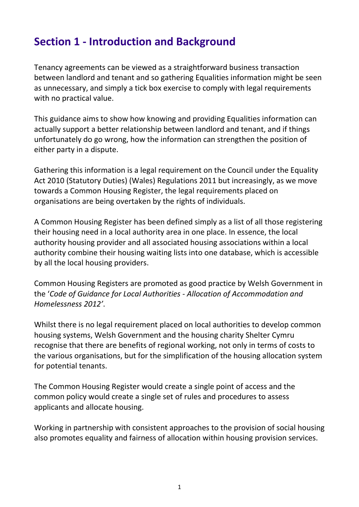# **Section 1 - Introduction and Background**

Tenancy agreements can be viewed as a straightforward business transaction between landlord and tenant and so gathering Equalities information might be seen as unnecessary, and simply a tick box exercise to comply with legal requirements with no practical value.

This guidance aims to show how knowing and providing Equalities information can actually support a better relationship between landlord and tenant, and if things unfortunately do go wrong, how the information can strengthen the position of either party in a dispute.

Gathering this information is a legal requirement on the Council under the Equality Act 2010 (Statutory Duties) (Wales) Regulations 2011 but increasingly, as we move towards a Common Housing Register, the legal requirements placed on organisations are being overtaken by the rights of individuals.

A Common Housing Register has been defined simply as a list of all those registering their housing need in a local authority area in one place. In essence, the local authority housing provider and all associated housing associations within a local authority combine their housing waiting lists into one database, which is accessible by all the local housing providers.

Common Housing Registers are promoted as good practice by Welsh Government in the '*Code of Guidance for Local Authorities - Allocation of Accommodation and Homelessness 2012'*.

Whilst there is no legal requirement placed on local authorities to develop common housing systems, Welsh Government and the housing charity Shelter Cymru recognise that there are benefits of regional working, not only in terms of costs to the various organisations, but for the simplification of the housing allocation system for potential tenants.

The Common Housing Register would create a single point of access and the common policy would create a single set of rules and procedures to assess applicants and allocate housing.

Working in partnership with consistent approaches to the provision of social housing also promotes equality and fairness of allocation within housing provision services.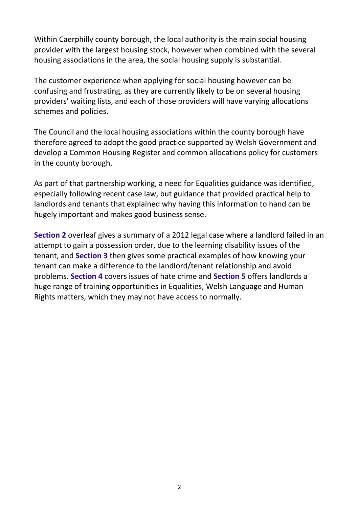Within Caerphilly county borough, the local authority is the main social housing provider with the largest housing stock, however when combined with the several housing associations in the area, the social housing supply is substantial.

The customer experience when applying for social housing however can be confusing and frustrating, as they are currently likely to be on several housing providers' waiting lists, and each of those providers will have varying allocations schemes and policies.

The Council and the local housing associations within the county borough have therefore agreed to adopt the good practice supported by Welsh Government and develop a Common Housing Register and common allocations policy for customers in the county borough.

As part of that partnership working, a need for Equalities guidance was identified, especially following recent case law, but guidance that provided practical help to landlords and tenants that explained why having this information to hand can be hugely important and makes good business sense.

**Section 2** overleaf gives a summary of a 2012 legal case where a landlord failed in an attempt to gain a possession order, due to the learning disability issues of the tenant, and **Section 3** then gives some practical examples of how knowing your tenant can make a difference to the landlord/tenant relationship and avoid problems. **Section 4** covers issues of hate crime and **Section 5** offers landlords a huge range of training opportunities in Equalities, Welsh Language and Human Rights matters, which they may not have access to normally.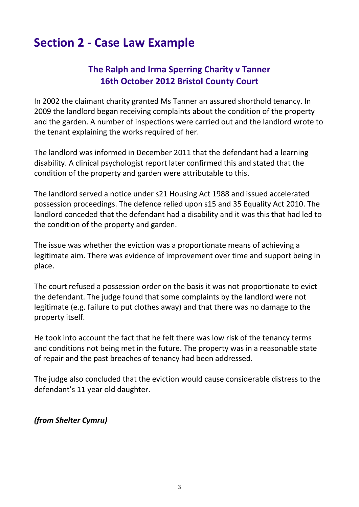# **Section 2 - Case Law Example**

# **The Ralph and Irma Sperring Charity v Tanner 16th October 2012 Bristol County Court**

In 2002 the claimant charity granted Ms Tanner an assured shorthold tenancy. In 2009 the landlord began receiving complaints about the condition of the property and the garden. A number of inspections were carried out and the landlord wrote to the tenant explaining the works required of her.

The landlord was informed in December 2011 that the defendant had a learning disability. A clinical psychologist report later confirmed this and stated that the condition of the property and garden were attributable to this.

The landlord served a notice under s21 Housing Act 1988 and issued accelerated possession proceedings. The defence relied upon s15 and 35 Equality Act 2010. The landlord conceded that the defendant had a disability and it was this that had led to the condition of the property and garden.

The issue was whether the eviction was a proportionate means of achieving a legitimate aim. There was evidence of improvement over time and support being in place.

The court refused a possession order on the basis it was not proportionate to evict the defendant. The judge found that some complaints by the landlord were not legitimate (e.g. failure to put clothes away) and that there was no damage to the property itself.

He took into account the fact that he felt there was low risk of the tenancy terms and conditions not being met in the future. The property was in a reasonable state of repair and the past breaches of tenancy had been addressed.

The judge also concluded that the eviction would cause considerable distress to the defendant's 11 year old daughter.

*(from Shelter Cymru)*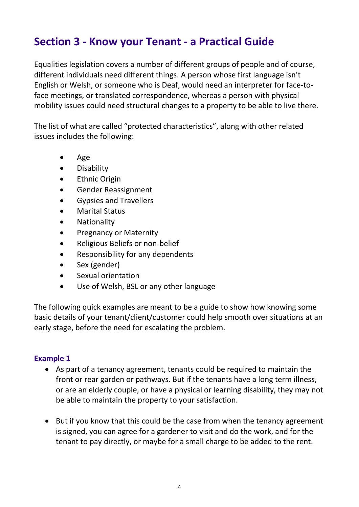# **Section 3 - Know your Tenant - a Practical Guide**

Equalities legislation covers a number of different groups of people and of course, different individuals need different things. A person whose first language isn't English or Welsh, or someone who is Deaf, would need an interpreter for face-toface meetings, or translated correspondence, whereas a person with physical mobility issues could need structural changes to a property to be able to live there.

The list of what are called "protected characteristics", along with other related issues includes the following:

- Age
- **Disability**
- **Ethnic Origin**
- Gender Reassignment
- Gypsies and Travellers
- Marital Status
- Nationality
- Pregnancy or Maternity
- Religious Beliefs or non-belief
- Responsibility for any dependents
- Sex (gender)
- Sexual orientation
- Use of Welsh, BSL or any other language

The following quick examples are meant to be a guide to show how knowing some basic details of your tenant/client/customer could help smooth over situations at an early stage, before the need for escalating the problem.

## **Example 1**

- As part of a tenancy agreement, tenants could be required to maintain the front or rear garden or pathways. But if the tenants have a long term illness, or are an elderly couple, or have a physical or learning disability, they may not be able to maintain the property to your satisfaction.
- But if you know that this could be the case from when the tenancy agreement is signed, you can agree for a gardener to visit and do the work, and for the tenant to pay directly, or maybe for a small charge to be added to the rent.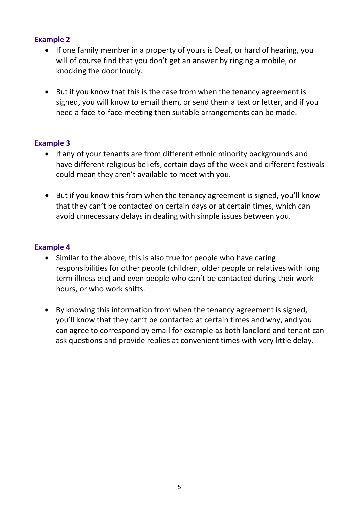## **Example 2**

- If one family member in a property of yours is Deaf, or hard of hearing, you will of course find that you don't get an answer by ringing a mobile, or knocking the door loudly.
- But if you know that this is the case from when the tenancy agreement is signed, you will know to email them, or send them a text or letter, and if you need a face-to-face meeting then suitable arrangements can be made.

## **Example 3**

- If any of your tenants are from different ethnic minority backgrounds and have different religious beliefs, certain days of the week and different festivals could mean they aren't available to meet with you.
- But if you know this from when the tenancy agreement is signed, you'll know that they can't be contacted on certain days or at certain times, which can avoid unnecessary delays in dealing with simple issues between you.

## **Example 4**

- Similar to the above, this is also true for people who have caring responsibilities for other people (children, older people or relatives with long term illness etc) and even people who can't be contacted during their work hours, or who work shifts.
- By knowing this information from when the tenancy agreement is signed, you'll know that they can't be contacted at certain times and why, and you can agree to correspond by email for example as both landlord and tenant can ask questions and provide replies at convenient times with very little delay.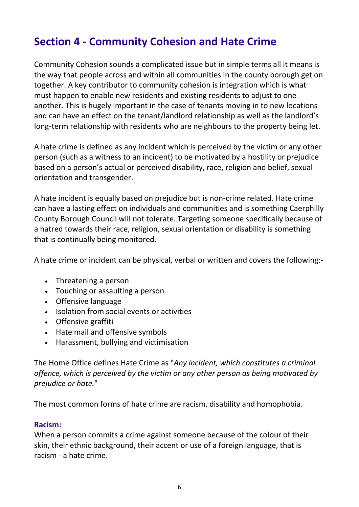# **Section 4 - Community Cohesion and Hate Crime**

Community Cohesion sounds a complicated issue but in simple terms all it means is the way that people across and within all communities in the county borough get on together. A key contributor to community cohesion is integration which is what must happen to enable new residents and existing residents to adjust to one another. This is hugely important in the case of tenants moving in to new locations and can have an effect on the tenant/landlord relationship as well as the landlord's long-term relationship with residents who are neighbours to the property being let.

A hate crime is defined as any incident which is perceived by the victim or any other person (such as a witness to an incident) to be motivated by a hostility or prejudice based on a person's actual or perceived disability, race, religion and belief, sexual orientation and transgender.

A hate incident is equally based on prejudice but is non-crime related. Hate crime can have a lasting effect on individuals and communities and is something Caerphilly County Borough Council will not tolerate. Targeting someone specifically because of a hatred towards their race, religion, sexual orientation or disability is something that is continually being monitored.

A hate crime or incident can be physical, verbal or written and covers the following:-

- Threatening a person
- Touching or assaulting a person
- Offensive language
- Isolation from social events or activities
- Offensive graffiti
- Hate mail and offensive symbols
- Harassment, bullying and victimisation

The Home Office defines Hate Crime as "*Any incident, which constitutes a criminal offence, which is perceived by the victim or any other person as being motivated by prejudice or hate.*"

The most common forms of hate crime are racism, disability and homophobia.

## **Racism:**

When a person commits a crime against someone because of the colour of their skin, their ethnic background, their accent or use of a foreign language, that is racism - a hate crime.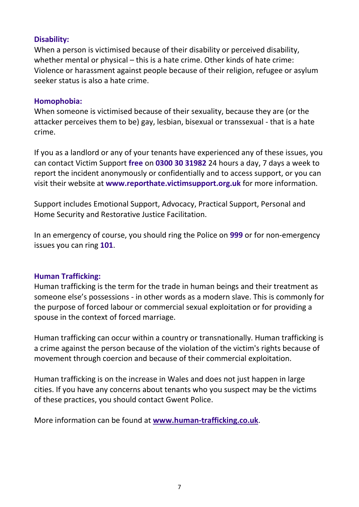## **Disability:**

When a person is victimised because of their disability or perceived disability, whether mental or physical – this is a hate crime. Other kinds of hate crime: Violence or harassment against people because of their religion, refugee or asylum seeker status is also a hate crime.

#### **Homophobia:**

When someone is victimised because of their sexuality, because they are (or the attacker perceives them to be) gay, lesbian, bisexual or transsexual - that is a hate crime.

If you as a landlord or any of your tenants have experienced any of these issues, you can contact Victim Support **free** on **[0300 30 31982](tel:08456%20121%20900%2024)** 24 hours a day, 7 days a week to report the incident anonymously or confidentially and to access support, or you can visit their website at **[www.reporthate.victimsupport.org.uk](http://www.reporthate.victimsupport.org.uk/)** for more information.

Support includes Emotional Support, Advocacy, Practical Support, Personal and Home Security and Restorative Justice Facilitation.

In an emergency of course, you should ring the Police on **999** or for non-emergency issues you can ring **101**.

## **Human Trafficking:**

Human trafficking is the term for the trade in human beings and their treatment as someone else's possessions - in other words as a modern slave. This is commonly for the purpose of forced labour or commercial sexual exploitation or for providing a spouse in the context of forced marriage.

Human trafficking can occur within a country or transnationally. Human trafficking is a crime against the person because of the violation of the victim's rights because of movement through coercion and because of their commercial exploitation.

Human trafficking is on the increase in Wales and does not just happen in large cities. If you have any concerns about tenants who you suspect may be the victims of these practices, you should contact Gwent Police.

More information can be found at **[www.human-trafficking.co.uk](http://www.human-trafficking.co.uk/)**.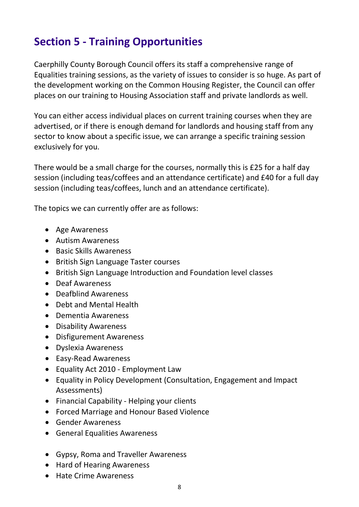# **Section 5 - Training Opportunities**

Caerphilly County Borough Council offers its staff a comprehensive range of Equalities training sessions, as the variety of issues to consider is so huge. As part of the development working on the Common Housing Register, the Council can offer places on our training to Housing Association staff and private landlords as well.

You can either access individual places on current training courses when they are advertised, or if there is enough demand for landlords and housing staff from any sector to know about a specific issue, we can arrange a specific training session exclusively for you.

There would be a small charge for the courses, normally this is £25 for a half day session (including teas/coffees and an attendance certificate) and £40 for a full day session (including teas/coffees, lunch and an attendance certificate).

The topics we can currently offer are as follows:

- Age Awareness
- Autism Awareness
- Basic Skills Awareness
- British Sign Language Taster courses
- British Sign Language Introduction and Foundation level classes
- Deaf Awareness
- Deafblind Awareness
- Debt and Mental Health
- Dementia Awareness
- Disability Awareness
- Disfigurement Awareness
- Dyslexia Awareness
- Easy-Read Awareness
- Equality Act 2010 Employment Law
- Equality in Policy Development (Consultation, Engagement and Impact Assessments)
- Financial Capability Helping your clients
- Forced Marriage and Honour Based Violence
- Gender Awareness
- General Equalities Awareness
- Gypsy, Roma and Traveller Awareness
- Hard of Hearing Awareness
- Hate Crime Awareness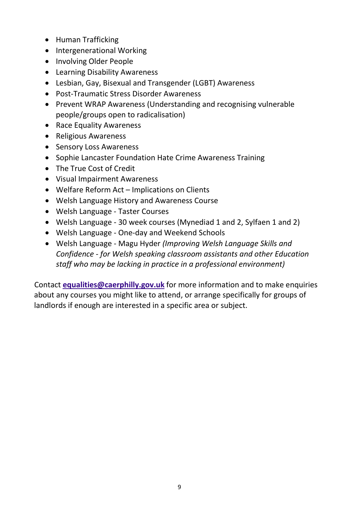- Human Trafficking
- Intergenerational Working
- Involving Older People
- Learning Disability Awareness
- Lesbian, Gay, Bisexual and Transgender (LGBT) Awareness
- Post-Traumatic Stress Disorder Awareness
- Prevent WRAP Awareness (Understanding and recognising vulnerable people/groups open to radicalisation)
- Race Equality Awareness
- Religious Awareness
- Sensory Loss Awareness
- Sophie Lancaster Foundation Hate Crime Awareness Training
- The True Cost of Credit
- Visual Impairment Awareness
- Welfare Reform Act Implications on Clients
- Welsh Language History and Awareness Course
- Welsh Language Taster Courses
- Welsh Language 30 week courses (Mynediad 1 and 2, Sylfaen 1 and 2)
- Welsh Language One-day and Weekend Schools
- Welsh Language Magu Hyder *(Improving Welsh Language Skills and Confidence - for Welsh speaking classroom assistants and other Education staff who may be lacking in practice in a professional environment)*

Contact **[equalities@caerphilly.gov.uk](mailto:equalities@caerphilly.gov.uk)** for more information and to make enquiries about any courses you might like to attend, or arrange specifically for groups of landlords if enough are interested in a specific area or subject.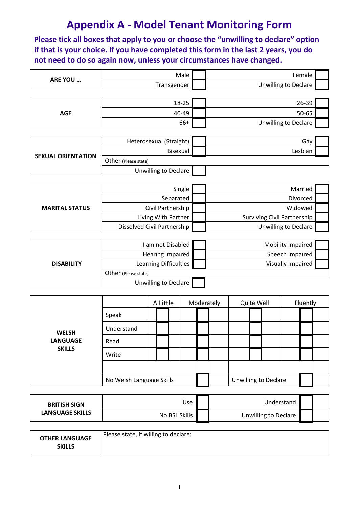# **Appendix A - Model Tenant Monitoring Form**

**Please tick all boxes that apply to you or choose the "unwilling to declare" option if that is your choice. If you have completed this form in the last 2 years, you do not need to do so again now, unless your circumstances have changed.**

|                           | Male                        | Female                             |  |
|---------------------------|-----------------------------|------------------------------------|--|
| ARE YOU                   | Transgender                 | Unwilling to Declare               |  |
|                           |                             |                                    |  |
|                           | 18-25                       | 26-39                              |  |
| <b>AGE</b>                | 40-49                       | 50-65                              |  |
|                           | 66+                         | <b>Unwilling to Declare</b>        |  |
|                           |                             |                                    |  |
|                           | Heterosexual (Straight)     | Gay                                |  |
| <b>SEXUAL ORIENTATION</b> | Bisexual                    | Lesbian                            |  |
|                           | Other (Please state)        |                                    |  |
|                           | <b>Unwilling to Declare</b> |                                    |  |
|                           |                             |                                    |  |
|                           | Single                      | Married                            |  |
|                           | Separated                   | Divorced                           |  |
| <b>MARITAL STATUS</b>     | Civil Partnership           | Widowed                            |  |
|                           | Living With Partner         | <b>Surviving Civil Partnership</b> |  |

|                   | I am not Disabled     | Mobility Impaired |  |
|-------------------|-----------------------|-------------------|--|
|                   | Hearing Impaired      | Speech Impaired   |  |
| <b>DISABILITY</b> | Learning Difficulties | Visually Impaired |  |
|                   | Other (Please state)  |                   |  |
|                   | Unwilling to Declare  |                   |  |

Dissolved Civil Partnership **United State** Unwilling to Declare

|                 |                          | A Little |  | Moderately | Quite Well |                             | Fluently |  |
|-----------------|--------------------------|----------|--|------------|------------|-----------------------------|----------|--|
|                 | Speak                    |          |  |            |            |                             |          |  |
| <b>WELSH</b>    | Understand               |          |  |            |            |                             |          |  |
| <b>LANGUAGE</b> | Read                     |          |  |            |            |                             |          |  |
| <b>SKILLS</b>   | Write                    |          |  |            |            |                             |          |  |
|                 |                          |          |  |            |            |                             |          |  |
|                 | No Welsh Language Skills |          |  |            |            | <b>Unwilling to Declare</b> |          |  |

| <b>BRITISH SIGN</b>    | Use           | Understand           |  |
|------------------------|---------------|----------------------|--|
| <b>LANGUAGE SKILLS</b> | No BSL Skills | Unwilling to Declare |  |

| <b>OTHER LANGUAGE</b><br><b>SKILLS</b> | Please state, if willing to declare: |
|----------------------------------------|--------------------------------------|
|----------------------------------------|--------------------------------------|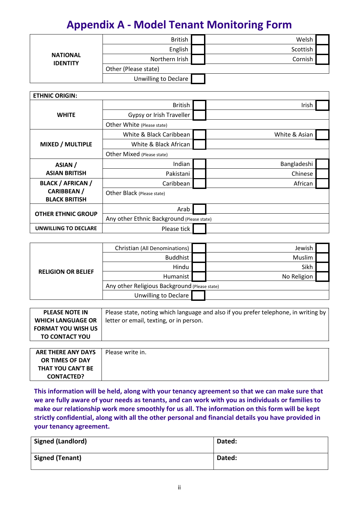# **Appendix A - Model Tenant Monitoring Form**

| <b>NATIONAL</b><br><b>IDENTITY</b> | <b>British</b>       | Welsh    |  |
|------------------------------------|----------------------|----------|--|
|                                    | English              | Scottish |  |
|                                    | Northern Irish       | Cornish  |  |
|                                    | Other (Please state) |          |  |
|                                    | Unwilling to Declare |          |  |

| <b>ETHNIC ORIGIN:</b>                      |                                            |               |
|--------------------------------------------|--------------------------------------------|---------------|
|                                            | <b>British</b>                             | Irish         |
| <b>WHITE</b>                               | Gypsy or Irish Traveller                   |               |
|                                            | Other White (Please state)                 |               |
|                                            | White & Black Caribbean                    | White & Asian |
| MIXED / MULTIPLE                           | White & Black African                      |               |
|                                            | Other Mixed (Please state)                 |               |
| ASIAN /                                    | Indian                                     | Bangladeshi   |
| <b>ASIAN BRITISH</b>                       | Pakistani                                  | Chinese       |
| <b>BLACK / AFRICAN /</b>                   | Caribbean                                  | African       |
| <b>CARIBBEAN /</b><br><b>BLACK BRITISH</b> | Other Black (Please state)                 |               |
|                                            | Arab                                       |               |
| <b>OTHER ETHNIC GROUP</b>                  | Any other Ethnic Background (Please state) |               |
| UNWILLING TO DECLARE                       | Please tick                                |               |

|                           | Christian (All Denominations)                 | Jewish      |  |
|---------------------------|-----------------------------------------------|-------------|--|
|                           | Buddhist                                      | Muslim      |  |
|                           | Hindu                                         | Sikh        |  |
| <b>RELIGION OR BELIEF</b> | Humanist                                      | No Religion |  |
|                           | Any other Religious Background (Please state) |             |  |
|                           | Unwilling to Declare                          |             |  |

| <b>PLEASE NOTE IN</b>     | Please state, noting which language and also if you prefer telephone, in writing by |
|---------------------------|-------------------------------------------------------------------------------------|
| <b>WHICH LANGUAGE OR</b>  | letter or email, texting, or in person.                                             |
| <b>FORMAT YOU WISH US</b> |                                                                                     |
| <b>TO CONTACT YOU</b>     |                                                                                     |
|                           |                                                                                     |

| OR TIMES OF DAY   | <b>ARE THERE ANY DAYS</b> | Please write in. |
|-------------------|---------------------------|------------------|
|                   |                           |                  |
|                   | THAT YOU CAN'T BE         |                  |
| <b>CONTACTED?</b> |                           |                  |

**This information will be held, along with your tenancy agreement so that we can make sure that we are fully aware of your needs as tenants, and can work with you as individuals or families to make our relationship work more smoothly for us all. The information on this form will be kept strictly confidential, along with all the other personal and financial details you have provided in your tenancy agreement.**

| <b>Signed (Landlord)</b> | Dated: |
|--------------------------|--------|
| <b>Signed (Tenant)</b>   | Dated: |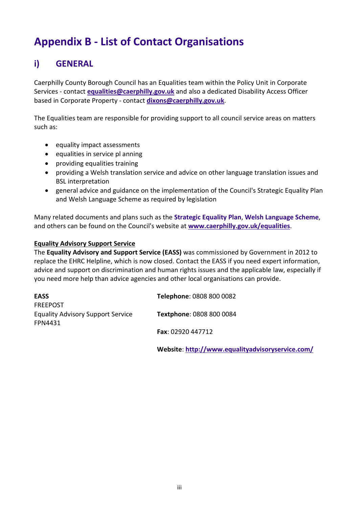# **Appendix B - List of Contact Organisations**

# **i) GENERAL**

Caerphilly County Borough Council has an Equalities team within the Policy Unit in Corporate Services - contact **[equalities@caerphilly.gov.uk](mailto:equalities@caerphilly.gov.uk)** and also a dedicated Disability Access Officer based in Corporate Property - contact **[dixons@caerphilly.gov.uk](mailto:dixons@caerphilly.gov.uk)**.

The Equalities team are responsible for providing support to all council service areas on matters such as:

- equality impact assessments
- equalities in service pl anning
- providing equalities training
- providing a Welsh translation service and advice on other language translation issues and BSL interpretation
- general advice and guidance on the implementation of the Council's Strategic Equality Plan and Welsh Language Scheme as required by legislation

Many related documents and plans such as the **Strategic Equality Plan**, **Welsh Language Scheme**, and others can be found on the Council's website at **[www.caerphilly.gov.uk/equalities](http://www.caerphilly.gov.uk/equalities)**.

#### **Equality Advisory Support Service**

The **Equality Advisory and Support Service (EASS)** was commissioned by Government in 2012 to replace the EHRC Helpline, which is now closed. Contact the EASS if you need expert information, advice and support on discrimination and human rights issues and the applicable law, especially if you need more help than advice agencies and other local organisations can provide.

| <b>EASS</b>                              | Telephone: 0808 800 0082 |
|------------------------------------------|--------------------------|
| <b>FREEPOST</b>                          |                          |
| <b>Equality Advisory Support Service</b> | Textphone: 0808 800 0084 |
| <b>FPN4431</b>                           |                          |
|                                          | <b>Fax: 02920 447712</b> |

**Website**: **<http://www.equalityadvisoryservice.com/>**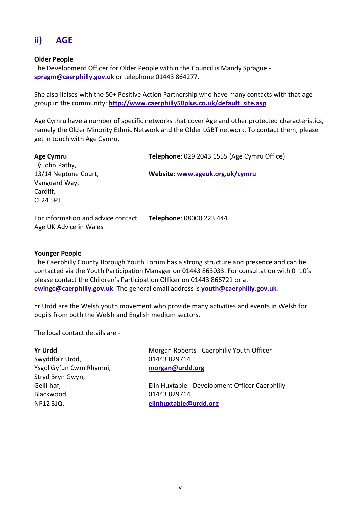# **ii) AGE**

#### **Older People**

The Development Officer for Older People within the Council is Mandy Sprague **[spragm@caerphilly.gov.uk](mailto:spragm@caerphilly.gov.uk)** or telephone 01443 864277.

She also liaises with the 50+ Positive Action Partnership who have many contacts with that age group in the community: **[http://www.caerphilly50plus.co.uk/default\\_site.asp](http://www.caerphilly50plus.co.uk/default_site.asp)**.

Age Cymru have a number of specific networks that cover Age and other protected characteristics, namely the Older Minority Ethnic Network and the Older LGBT network. To contact them, please get in touch with Age Cymru.

| <b>Age Cymru</b>                                             | Telephone: 029 2043 1555 (Age Cymru Office) |
|--------------------------------------------------------------|---------------------------------------------|
| Tŷ John Pathy,<br>13/14 Neptune Court,                       | Website: www.ageuk.org.uk/cymru             |
| Vanguard Way,                                                |                                             |
| Cardiff,                                                     |                                             |
| CF24 5PJ.                                                    |                                             |
| For information and advice contact<br>Age UK Advice in Wales | Telephone: 08000 223 444                    |

#### **Younger People**

The Caerphilly County Borough Youth Forum has a strong structure and presence and can be contacted via the Youth Participation Manager on 01443 863033. For consultation with 0–10's please contact the Children's Participation Officer on 01443 866721 or at **[ewingc@caerphilly.gov.uk](mailto:ewingc@caerphilly.gov.uk)**. The general email address is **[youth@caerphilly.gov.uk](mailto:youth@caerphilly.gov.uk)**.

Yr Urdd are the Welsh youth movement who provide many activities and events in Welsh for pupils from both the Welsh and English medium sectors.

The local contact details are -

| Morgan Roberts - Caerphilly Youth Officer      |
|------------------------------------------------|
| 01443 829714                                   |
| morgan@urdd.org                                |
|                                                |
| Elin Huxtable - Development Officer Caerphilly |
| 01443 829714                                   |
| elinhuxtable@urdd.org                          |
|                                                |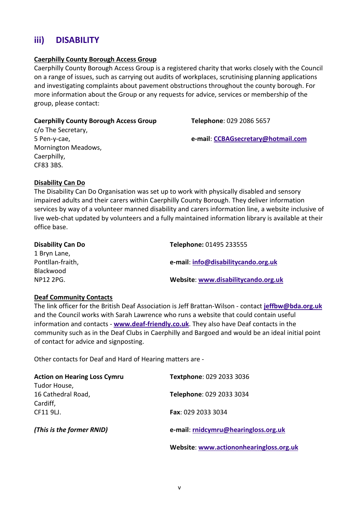# **iii) DISABILITY**

#### **Caerphilly County Borough Access Group**

Caerphilly County Borough Access Group is a registered charity that works closely with the Council on a range of issues, such as carrying out audits of workplaces, scrutinising planning applications and investigating complaints about pavement obstructions throughout the county borough. For more information about the Group or any requests for advice, services or membership of the group, please contact:

#### **Caerphilly County Borough Access Group**

**Telephone**: 029 2086 5657

c/o The Secretary, 5 Pen-y-cae, Mornington Meadows, Caerphilly, CF83 3BS.

**e-mail**: **[CCBAGsecretary@hotmail.com](mailto:CCBAGsecretary@hotmail.com)**

#### **Disability Can Do**

The Disability Can Do Organisation was set up to work with physically disabled and sensory impaired adults and their carers within Caerphilly County Borough. They deliver information services by way of a volunteer manned disability and carers information line, a website inclusive of live web-chat updated by volunteers and a fully maintained information library is available at their office base.

| Telephone: 01495 233555             |
|-------------------------------------|
|                                     |
| e-mail: info@disabilitycando.org.uk |
|                                     |
| Website: www.disabilitycando.org.uk |
|                                     |

#### **Deaf Community Contacts**

The link officer for the British Deaf Association is Jeff Brattan-Wilson - contact **[jeffbw@bda.org.uk](mailto:jeffbw@bda.org.uk)** and the Council works with Sarah Lawrence who runs a website that could contain useful information and contacts - **[www.deaf-friendly.co.uk](mailto:sarah.lawrence6@btopenworld.com)**. They also have Deaf contacts in the community such as in the Deaf Clubs in Caerphilly and Bargoed and would be an ideal initial point of contact for advice and signposting.

Other contacts for Deaf and Hard of Hearing matters are -

| <b>Action on Hearing Loss Cymru</b> | Textphone: 029 2033 3036             |
|-------------------------------------|--------------------------------------|
| Tudor House,                        |                                      |
| 16 Cathedral Road,                  | Telephone: 029 2033 3034             |
| Cardiff,                            |                                      |
| CF11 9LJ.                           | <b>Fax: 029 2033 3034</b>            |
|                                     |                                      |
| (This is the former RNID)           | e-mail: rnidcymru@hearingloss.org.uk |
|                                     |                                      |

**Website**: **[www.actiononhearingloss.org.uk](http://www.actiononhearingloss.org.uk/)**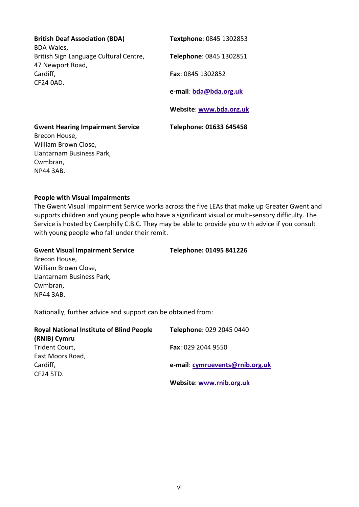| <b>British Deaf Association (BDA)</b><br><b>BDA Wales,</b>                       | Textphone: 0845 1302853 |
|----------------------------------------------------------------------------------|-------------------------|
| British Sign Language Cultural Centre,<br>47 Newport Road,                       | Telephone: 0845 1302851 |
| Cardiff,<br>CF24 0AD.                                                            | Fax: 0845 1302852       |
|                                                                                  | e-mail: bda@bda.org.uk  |
|                                                                                  | Website: www.bda.org.uk |
|                                                                                  |                         |
| <b>Gwent Hearing Impairment Service</b><br>Brecon House,<br>William Brown Close, | Telephone: 01633 645458 |

#### **People with Visual Impairments**

NP44 3AB.

The Gwent Visual Impairment Service works across the five LEAs that make up Greater Gwent and supports children and young people who have a significant visual or multi-sensory difficulty. The Service is hosted by Caerphilly C.B.C. They may be able to provide you with advice if you consult with young people who fall under their remit.

#### **Gwent Visual Impairment Service** Brecon House, William Brown Close, Llantarnam Business Park, Cwmbran, NP44 3AB. **Telephone: 01495 841226**

Nationally, further advice and support can be obtained from:

| <b>Royal National Institute of Blind People</b> | Telephone: 029 2045 0440        |
|-------------------------------------------------|---------------------------------|
| (RNIB) Cymru                                    |                                 |
| Trident Court,                                  | <b>Fax</b> : 029 2044 9550      |
| East Moors Road,                                |                                 |
| Cardiff,                                        | e-mail: cymruevents@rnib.org.uk |
| CF24 5TD.                                       |                                 |
|                                                 | Website: www.rnib.org.uk        |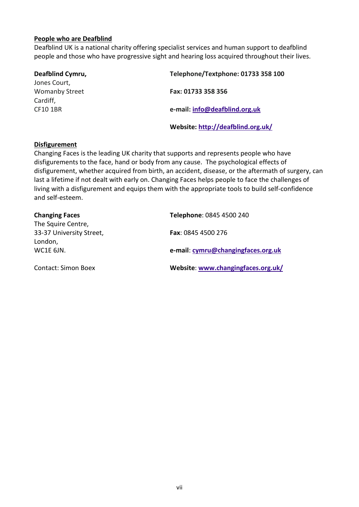#### **People who are Deafblind**

Deafblind UK is a national charity offering specialist services and human support to deafblind people and those who have progressive sight and hearing loss acquired throughout their lives.

| Deafblind Cymru,      | Telephone/Textphone: 01733 358 100 |
|-----------------------|------------------------------------|
| Jones Court,          |                                    |
| <b>Womanby Street</b> | Fax: 01733 358 356                 |
| Cardiff,              |                                    |
| <b>CF10 1BR</b>       | e-mail: info@deafblind.org.uk      |
|                       | Website: http://deafblind.org.uk/  |

#### **Disfigurement**

Changing Faces is the leading UK charity that supports and represents people who have disfigurements to the face, hand or body from any cause. The psychological effects of disfigurement, whether acquired from birth, an accident, disease, or the aftermath of surgery, can last a lifetime if not dealt with early on. Changing Faces helps people to face the challenges of living with a disfigurement and equips them with the appropriate tools to build self-confidence and self-esteem.

| <b>Changing Faces</b>                          | Telephone: 0845 4500 240           |
|------------------------------------------------|------------------------------------|
| The Squire Centre,<br>33-37 University Street, | <b>Fax: 0845 4500 276</b>          |
| London,                                        |                                    |
| WC1E 6JN.                                      | e-mail: cymru@changingfaces.org.uk |
| <b>Contact: Simon Boex</b>                     | Website: www.changingfaces.org.uk/ |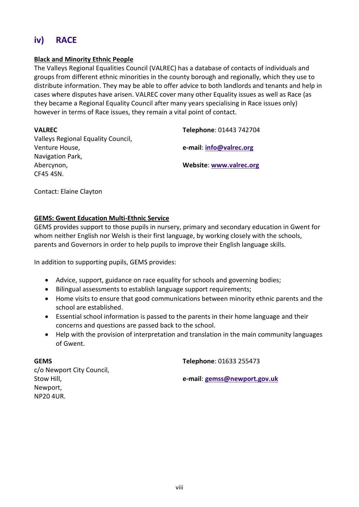# **iv) RACE**

#### **Black and Minority Ethnic People**

The Valleys Regional Equalities Council (VALREC) has a database of contacts of individuals and groups from different ethnic minorities in the county borough and regionally, which they use to distribute information. They may be able to offer advice to both landlords and tenants and help in cases where disputes have arisen. VALREC cover many other Equality issues as well as Race (as they became a Regional Equality Council after many years specialising in Race issues only) however in terms of Race issues, they remain a vital point of contact.

| <b>VALREC</b>                      | Telephone: 01443 742704        |
|------------------------------------|--------------------------------|
| Valleys Regional Equality Council, |                                |
| Venture House,                     | e-mail: info@valrec.org        |
| Navigation Park,                   |                                |
| Abercynon,                         | <b>Website: www.valrec.org</b> |
| CF45 4SN.                          |                                |

Contact: Elaine Clayton

#### **GEMS: Gwent Education Multi-Ethnic Service**

GEMS provides support to those pupils in nursery, primary and secondary education in Gwent for whom neither English nor Welsh is their first language, by working closely with the schools, parents and Governors in order to help pupils to improve their English language skills.

In addition to supporting pupils, GEMS provides:

- Advice, support, guidance on race equality for schools and governing bodies;
- Bilingual assessments to establish language support requirements;
- Home visits to ensure that good communications between minority ethnic parents and the school are established.
- Essential school information is passed to the parents in their home language and their concerns and questions are passed back to the school.
- Help with the provision of interpretation and translation in the main community languages of Gwent.

**GEMS**

**Telephone**: 01633 255473

c/o Newport City Council, Stow Hill, Newport, NP20 4UR.

**e-mail**: **[gemss@newport.gov.uk](mailto:gemss@newport.gov.uk)**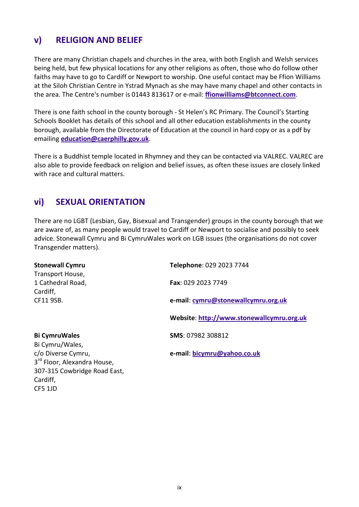## **v) RELIGION AND BELIEF**

There are many Christian chapels and churches in the area, with both English and Welsh services being held, but few physical locations for any other religions as often, those who do follow other faiths may have to go to Cardiff or Newport to worship. One useful contact may be Ffion Williams at the Siloh Christian Centre in Ystrad Mynach as she may have many chapel and other contacts in the area. The Centre's number is 01443 813617 or e-mail: **[ffionwilliams@btconnect.com](mailto:ffionwilliams@btconnect.com)**.

There is one faith school in the county borough - St Helen's RC Primary. The Council's Starting Schools Booklet has details of this school and all other education establishments in the county borough, available from the Directorate of Education at the council in hard copy or as a pdf by emailing **[education@caerphilly.gov.uk](mailto:education@caerphilly.gov.uk)**.

There is a Buddhist temple located in Rhymney and they can be contacted via VALREC. VALREC are also able to provide feedback on religion and belief issues, as often these issues are closely linked with race and cultural matters.

## **vi) SEXUAL ORIENTATION**

CF5 1JD

There are no LGBT (Lesbian, Gay, Bisexual and Transgender) groups in the county borough that we are aware of, as many people would travel to Cardiff or Newport to socialise and possibly to seek advice. Stonewall Cymru and Bi CymruWales work on LGB issues (the organisations do not cover Transgender matters).

| <b>Stonewall Cymru</b>                  | Telephone: 029 2023 7744                  |
|-----------------------------------------|-------------------------------------------|
| Transport House,                        |                                           |
| 1 Cathedral Road,                       | Fax: 029 2023 7749                        |
| Cardiff,                                |                                           |
| CF11 9SB.                               | e-mail: cymru@stonewallcymru.org.uk       |
|                                         | Website: http://www.stonewallcymru.org.uk |
| <b>Bi CymruWales</b>                    | SMS: 07982 308812                         |
| Bi Cymru/Wales,                         |                                           |
| c/o Diverse Cymru,                      | e-mail: bicymru@yahoo.co.uk               |
| 3 <sup>rd</sup> Floor, Alexandra House, |                                           |
| 307-315 Cowbridge Road East,            |                                           |
| Cardiff.                                |                                           |